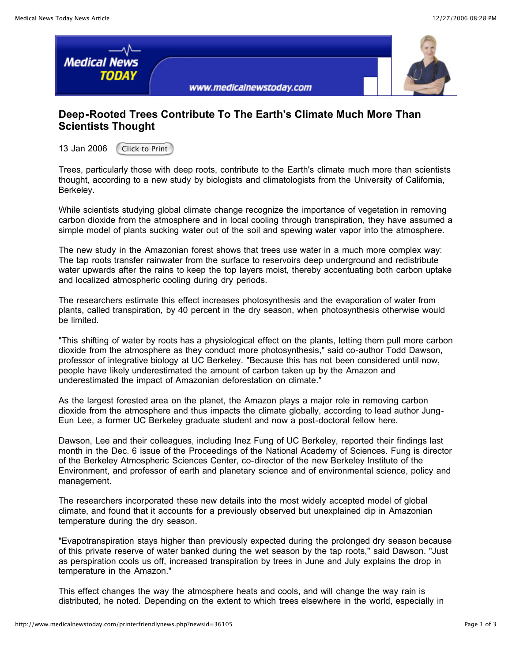

## **Deep-Rooted Trees Contribute To The Earth's Climate Much More Than Scientists Thought**

13 Jan 2006 Click to Print

Trees, particularly those with deep roots, contribute to the Earth's climate much more than scientists thought, according to a new study by biologists and climatologists from the University of California, Berkeley.

While scientists studying global climate change recognize the importance of vegetation in removing carbon dioxide from the atmosphere and in local cooling through transpiration, they have assumed a simple model of plants sucking water out of the soil and spewing water vapor into the atmosphere.

The new study in the Amazonian forest shows that trees use water in a much more complex way: The tap roots transfer rainwater from the surface to reservoirs deep underground and redistribute water upwards after the rains to keep the top layers moist, thereby accentuating both carbon uptake and localized atmospheric cooling during dry periods.

The researchers estimate this effect increases photosynthesis and the evaporation of water from plants, called transpiration, by 40 percent in the dry season, when photosynthesis otherwise would be limited.

"This shifting of water by roots has a physiological effect on the plants, letting them pull more carbon dioxide from the atmosphere as they conduct more photosynthesis," said co-author Todd Dawson, professor of integrative biology at UC Berkeley. "Because this has not been considered until now, people have likely underestimated the amount of carbon taken up by the Amazon and underestimated the impact of Amazonian deforestation on climate."

As the largest forested area on the planet, the Amazon plays a major role in removing carbon dioxide from the atmosphere and thus impacts the climate globally, according to lead author Jung-Eun Lee, a former UC Berkeley graduate student and now a post-doctoral fellow here.

Dawson, Lee and their colleagues, including Inez Fung of UC Berkeley, reported their findings last month in the Dec. 6 issue of the Proceedings of the National Academy of Sciences. Fung is director of the Berkeley Atmospheric Sciences Center, co-director of the new Berkeley Institute of the Environment, and professor of earth and planetary science and of environmental science, policy and management.

The researchers incorporated these new details into the most widely accepted model of global climate, and found that it accounts for a previously observed but unexplained dip in Amazonian temperature during the dry season.

"Evapotranspiration stays higher than previously expected during the prolonged dry season because of this private reserve of water banked during the wet season by the tap roots," said Dawson. "Just as perspiration cools us off, increased transpiration by trees in June and July explains the drop in temperature in the Amazon."

This effect changes the way the atmosphere heats and cools, and will change the way rain is distributed, he noted. Depending on the extent to which trees elsewhere in the world, especially in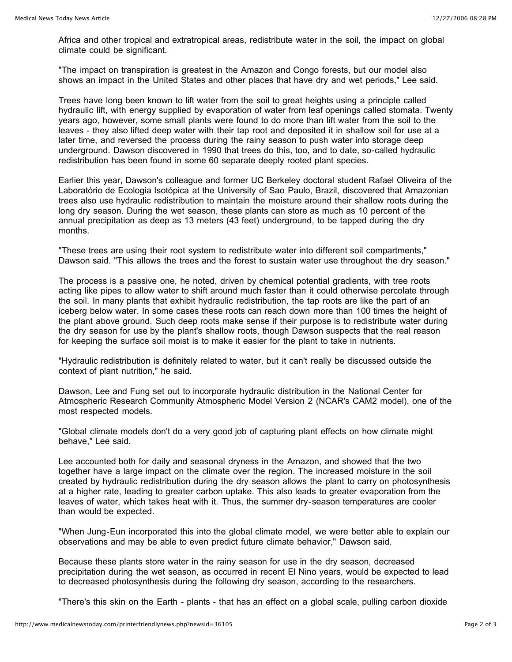Africa and other tropical and extratropical areas, redistribute water in the soil, the impact on global climate could be significant.

"The impact on transpiration is greatest in the Amazon and Congo forests, but our model also shows an impact in the United States and other places that have dry and wet periods," Lee said.

Trees have long been known to lift water from the soil to great heights using a principle called hydraulic lift, with energy supplied by evaporation of water from leaf openings called stomata. Twenty years ago, however, some small plants were found to do more than lift water from the soil to the leaves - they also lifted deep water with their tap root and deposited it in shallow soil for use at a later time, and reversed the process during the rainy season to push water into storage deep underground. Dawson discovered in 1990 that trees do this, too, and to date, so-called hydraulic redistribution has been found in some 60 separate deeply rooted plant species.

Earlier this year, Dawson's colleague and former UC Berkeley doctoral student Rafael Oliveira of the Laboratório de Ecologia Isotópica at the University of Sao Paulo, Brazil, discovered that Amazonian trees also use hydraulic redistribution to maintain the moisture around their shallow roots during the long dry season. During the wet season, these plants can store as much as 10 percent of the annual precipitation as deep as 13 meters (43 feet) underground, to be tapped during the dry months.

"These trees are using their root system to redistribute water into different soil compartments," Dawson said. "This allows the trees and the forest to sustain water use throughout the dry season."

The process is a passive one, he noted, driven by chemical potential gradients, with tree roots acting like pipes to allow water to shift around much faster than it could otherwise percolate through the soil. In many plants that exhibit hydraulic redistribution, the tap roots are like the part of an iceberg below water. In some cases these roots can reach down more than 100 times the height of the plant above ground. Such deep roots make sense if their purpose is to redistribute water during the dry season for use by the plant's shallow roots, though Dawson suspects that the real reason for keeping the surface soil moist is to make it easier for the plant to take in nutrients.

"Hydraulic redistribution is definitely related to water, but it can't really be discussed outside the context of plant nutrition," he said.

Dawson, Lee and Fung set out to incorporate hydraulic distribution in the National Center for Atmospheric Research Community Atmospheric Model Version 2 (NCAR's CAM2 model), one of the most respected models.

"Global climate models don't do a very good job of capturing plant effects on how climate might behave," Lee said.

Lee accounted both for daily and seasonal dryness in the Amazon, and showed that the two together have a large impact on the climate over the region. The increased moisture in the soil created by hydraulic redistribution during the dry season allows the plant to carry on photosynthesis at a higher rate, leading to greater carbon uptake. This also leads to greater evaporation from the leaves of water, which takes heat with it. Thus, the summer dry-season temperatures are cooler than would be expected.

"When Jung-Eun incorporated this into the global climate model, we were better able to explain our observations and may be able to even predict future climate behavior," Dawson said.

Because these plants store water in the rainy season for use in the dry season, decreased precipitation during the wet season, as occurred in recent El Nino years, would be expected to lead to decreased photosynthesis during the following dry season, according to the researchers.

"There's this skin on the Earth - plants - that has an effect on a global scale, pulling carbon dioxide